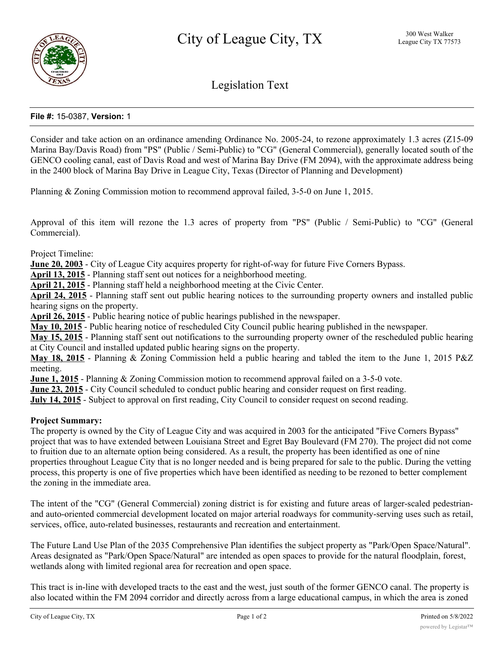

# Legislation Text

## **File #:** 15-0387, **Version:** 1

Consider and take action on an ordinance amending Ordinance No. 2005-24, to rezone approximately 1.3 acres (Z15-09 Marina Bay/Davis Road) from "PS" (Public / Semi-Public) to "CG" (General Commercial), generally located south of the GENCO cooling canal, east of Davis Road and west of Marina Bay Drive (FM 2094), with the approximate address being in the 2400 block of Marina Bay Drive in League City, Texas (Director of Planning and Development)

Planning & Zoning Commission motion to recommend approval failed, 3-5-0 on June 1, 2015.

Approval of this item will rezone the 1.3 acres of property from "PS" (Public / Semi-Public) to "CG" (General Commercial).

Project Timeline:

**June 20, 2003** - City of League City acquires property for right-of-way for future Five Corners Bypass.

**April 13, 2015** - Planning staff sent out notices for a neighborhood meeting.

**April 21, 2015** - Planning staff held a neighborhood meeting at the Civic Center.

**April 24, 2015** - Planning staff sent out public hearing notices to the surrounding property owners and installed public hearing signs on the property.

**April 26, 2015** - Public hearing notice of public hearings published in the newspaper.

**May 10, 2015** - Public hearing notice of rescheduled City Council public hearing published in the newspaper.

**May 15, 2015** - Planning staff sent out notifications to the surrounding property owner of the rescheduled public hearing at City Council and installed updated public hearing signs on the property.

**May 18, 2015** - Planning & Zoning Commission held a public hearing and tabled the item to the June 1, 2015 P&Z meeting.

**June 1, 2015** - Planning & Zoning Commission motion to recommend approval failed on a 3-5-0 vote.

**June 23, 2015** - City Council scheduled to conduct public hearing and consider request on first reading.

**July 14, 2015** - Subject to approval on first reading, City Council to consider request on second reading.

#### **Project Summary:**

The property is owned by the City of League City and was acquired in 2003 for the anticipated "Five Corners Bypass" project that was to have extended between Louisiana Street and Egret Bay Boulevard (FM 270). The project did not come to fruition due to an alternate option being considered. As a result, the property has been identified as one of nine properties throughout League City that is no longer needed and is being prepared for sale to the public. During the vetting process, this property is one of five properties which have been identified as needing to be rezoned to better complement the zoning in the immediate area.

The intent of the "CG" (General Commercial) zoning district is for existing and future areas of larger-scaled pedestrianand auto-oriented commercial development located on major arterial roadways for community-serving uses such as retail, services, office, auto-related businesses, restaurants and recreation and entertainment.

The Future Land Use Plan of the 2035 Comprehensive Plan identifies the subject property as "Park/Open Space/Natural". Areas designated as "Park/Open Space/Natural" are intended as open spaces to provide for the natural floodplain, forest, wetlands along with limited regional area for recreation and open space.

This tract is in-line with developed tracts to the east and the west, just south of the former GENCO canal. The property is also located within the FM 2094 corridor and directly across from a large educational campus, in which the area is zoned